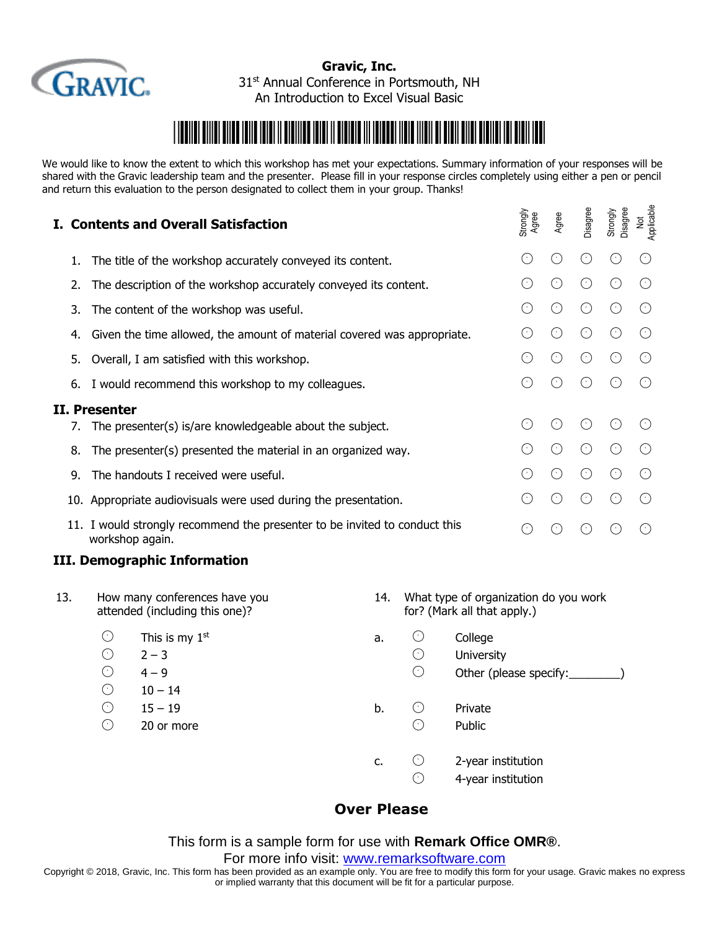

**Gravic, Inc.** 31<sup>st</sup> Annual Conference in Portsmouth, NH An Introduction to Excel Visual Basic

## \*Introduction of the control of the control of the control of the control of the control of the control of the

We would like to know the extent to which this workshop has met your expectations. Summary information of your responses will be shared with the Gravic leadership team and the presenter. Please fill in your response circles completely using either a pen or pencil and return this evaluation to the person designated to collect them in your group. Thanks!

|    | I. Contents and Overall Satisfaction                                                          | Strongly<br>Agree    | Agree     | Disagree  | Disagree<br>Strongly | Applicable<br>$\rm \frac{1}{2}$ |
|----|-----------------------------------------------------------------------------------------------|----------------------|-----------|-----------|----------------------|---------------------------------|
| 1. | The title of the workshop accurately conveyed its content.                                    | €                    | ⊙         | $(\cdot)$ |                      |                                 |
| 2. | The description of the workshop accurately conveyed its content.                              | $\left(\cdot\right)$ | $(\cdot)$ | $(\cdot)$ |                      |                                 |
| 3. | The content of the workshop was useful.                                                       | $(\cdot)$            | $(\cdot)$ | $(\cdot)$ |                      |                                 |
| 4. | Given the time allowed, the amount of material covered was appropriate.                       | $(\cdot)$            | $(\cdot)$ | $(\cdot)$ | $(\cdot)$            |                                 |
| 5. | Overall, I am satisfied with this workshop.                                                   | €                    | ⊙         | $(\cdot)$ |                      |                                 |
| 6. | I would recommend this workshop to my colleagues.                                             | $(\cdot)$            | ∩         | $(\cdot)$ |                      |                                 |
|    | II. Presenter<br>The presenter(s) is/are knowledgeable about the subject.                     | $\left(\cdot\right)$ | ⊙         | $(\cdot)$ |                      |                                 |
| 8. | The presenter(s) presented the material in an organized way.                                  |                      | $(\cdot)$ | $(\cdot)$ |                      |                                 |
| 9. | The handouts I received were useful.                                                          | $(\cdot)$            | $(\cdot)$ | $(\cdot)$ |                      |                                 |
|    | 10. Appropriate audiovisuals were used during the presentation.                               | $(\cdot)$            | $(\cdot)$ | $(\cdot)$ |                      |                                 |
|    | 11. I would strongly recommend the presenter to be invited to conduct this<br>workshop again. | $(\cdot)$            |           |           |                      |                                 |

## **III. Demographic Information**

| 13. | How many conferences have you<br>attended (including this one)? |                             | What type of organization do you work<br>14.<br>for? (Mark all that apply.) |                          |                                          |  |  |
|-----|-----------------------------------------------------------------|-----------------------------|-----------------------------------------------------------------------------|--------------------------|------------------------------------------|--|--|
|     | ⊙<br>$\circlearrowright$                                        | This is my $1st$<br>$2 - 3$ | a.                                                                          | ⊙<br>$\circlearrowright$ | College<br><b>University</b>             |  |  |
|     | O<br>⊙                                                          | $4 - 9$<br>$10 - 14$        |                                                                             | ⊙                        | Other (please specify:                   |  |  |
|     | O<br>O                                                          | $15 - 19$<br>20 or more     | b.                                                                          | $(\cdot)$<br>C           | Private<br>Public                        |  |  |
|     |                                                                 |                             | c.                                                                          | $(\cdot)$<br>$(\cdot)$   | 2-year institution<br>4-year institution |  |  |

## **Over Please**

This form is a sample form for use with **Remark Office OMR®**.

For more info visit: [www.remarksoftware.com](http://www.remarksoftware.com/)

Copyright © 2018, Gravic, Inc. This form has been provided as an example only. You are free to modify this form for your usage. Gravic makes no express or implied warranty that this document will be fit for a particular purpose.